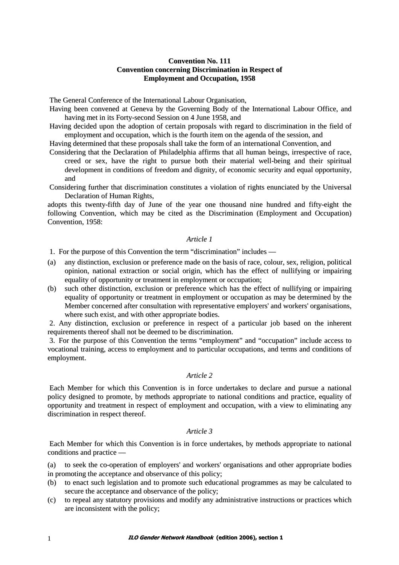# **Convention No. 111 Convention concerning Discrimination in Respect of Employment and Occupation, 1958**

The General Conference of the International Labour Organisation,

- Having been convened at Geneva by the Governing Body of the International Labour Office, and having met in its Forty-second Session on 4 June 1958, and
- Having decided upon the adoption of certain proposals with regard to discrimination in the field of employment and occupation, which is the fourth item on the agenda of the session, and

Having determined that these proposals shall take the form of an international Convention, and

Considering that the Declaration of Philadelphia affirms that all human beings, irrespective of race, creed or sex, have the right to pursue both their material well-being and their spiritual development in conditions of freedom and dignity, of economic security and equal opportunity, and

Considering further that discrimination constitutes a violation of rights enunciated by the Universal Declaration of Human Rights,

adopts this twenty-fifth day of June of the year one thousand nine hundred and fifty-eight the following Convention, which may be cited as the Discrimination (Employment and Occupation) Convention, 1958:

## *Article 1*

1. For the purpose of this Convention the term "discrimination" includes —

- (a) any distinction, exclusion or preference made on the basis of race, colour, sex, religion, political opinion, national extraction or social origin, which has the effect of nullifying or impairing equality of opportunity or treatment in employment or occupation;
- (b) such other distinction, exclusion or preference which has the effect of nullifying or impairing equality of opportunity or treatment in employment or occupation as may be determined by the Member concerned after consultation with representative employers' and workers' organisations, where such exist, and with other appropriate bodies.

2. Any distinction, exclusion or preference in respect of a particular job based on the inherent requirements thereof shall not be deemed to be discrimination.

3. For the purpose of this Convention the terms "employment" and "occupation" include access to vocational training, access to employment and to particular occupations, and terms and conditions of employment.

## *Article 2*

Each Member for which this Convention is in force undertakes to declare and pursue a national policy designed to promote, by methods appropriate to national conditions and practice, equality of opportunity and treatment in respect of employment and occupation, with a view to eliminating any discrimination in respect thereof.

## *Article 3*

Each Member for which this Convention is in force undertakes, by methods appropriate to national conditions and practice —

(a) to seek the co-operation of employers' and workers' organisations and other appropriate bodies in promoting the acceptance and observance of this policy;

- (b) to enact such legislation and to promote such educational programmes as may be calculated to secure the acceptance and observance of the policy;
- (c) to repeal any statutory provisions and modify any administrative instructions or practices which are inconsistent with the policy;